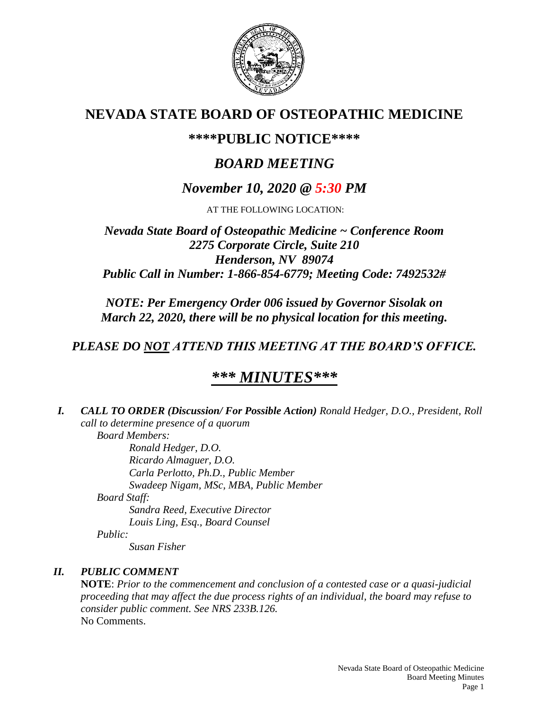

## **NEVADA STATE BOARD OF OSTEOPATHIC MEDICINE**

## **\*\*\*\*PUBLIC NOTICE\*\*\*\***

# *BOARD MEETING*

## *November 10, 2020 @ 5:30 PM*

AT THE FOLLOWING LOCATION:

### *Nevada State Board of Osteopathic Medicine ~ Conference Room 2275 Corporate Circle, Suite 210 Henderson, NV 89074 Public Call in Number: 1-866-854-6779; Meeting Code: 7492532#*

*NOTE: Per Emergency Order 006 issued by Governor Sisolak on March 22, 2020, there will be no physical location for this meeting.*

## *PLEASE DO NOT ATTEND THIS MEETING AT THE BOARD'S OFFICE.*

## *\*\*\* MINUTES\*\*\**

*I. CALL TO ORDER (Discussion/ For Possible Action) Ronald Hedger, D.O., President, Roll call to determine presence of a quorum Board Members:*

*Ronald Hedger, D.O. Ricardo Almaguer, D.O. Carla Perlotto, Ph.D., Public Member Swadeep Nigam, MSc, MBA, Public Member Board Staff: Sandra Reed, Executive Director Louis Ling, Esq., Board Counsel Public:*

*Susan Fisher*

### *II. PUBLIC COMMENT*

**NOTE**: *Prior to the commencement and conclusion of a contested case or a quasi-judicial proceeding that may affect the due process rights of an individual, the board may refuse to consider public comment. See NRS 233B.126.* No Comments.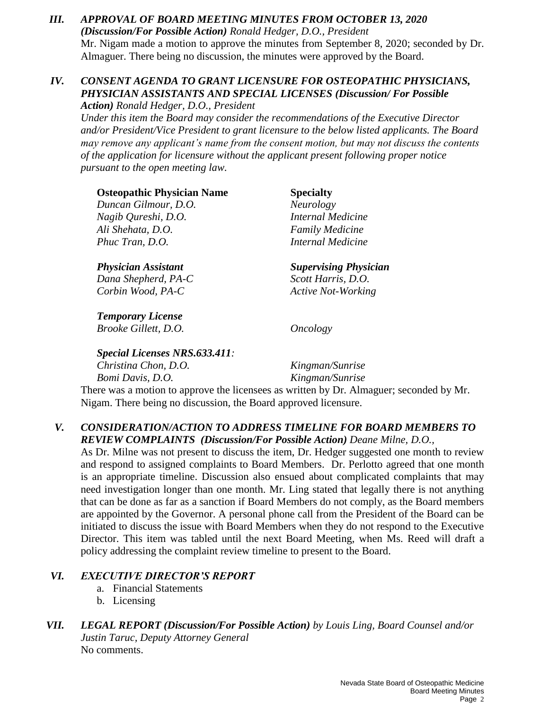*III. APPROVAL OF BOARD MEETING MINUTES FROM OCTOBER 13, 2020 (Discussion/For Possible Action) Ronald Hedger, D.O., President* Mr. Nigam made a motion to approve the minutes from September 8, 2020; seconded by Dr. Almaguer. There being no discussion, the minutes were approved by the Board.

#### *IV. CONSENT AGENDA TO GRANT LICENSURE FOR OSTEOPATHIC PHYSICIANS, PHYSICIAN ASSISTANTS AND SPECIAL LICENSES (Discussion/ For Possible Action) Ronald Hedger, D.O., President*

*Under this item the Board may consider the recommendations of the Executive Director and/or President/Vice President to grant licensure to the below listed applicants. The Board may remove any applicant's name from the consent motion, but may not discuss the contents of the application for licensure without the applicant present following proper notice pursuant to the open meeting law.*

| <b>Osteopathic Physician Name</b>                               | <b>Specialty</b>                                                                        |
|-----------------------------------------------------------------|-----------------------------------------------------------------------------------------|
| Duncan Gilmour, D.O.                                            | <b>Neurology</b>                                                                        |
| Nagib Qureshi, D.O.                                             | Internal Medicine                                                                       |
| Ali Shehata, D.O.                                               | <b>Family Medicine</b>                                                                  |
| Phuc Tran, D.O.                                                 | Internal Medicine                                                                       |
| <b>Physician Assistant</b>                                      | <b>Supervising Physician</b>                                                            |
| Dana Shepherd, PA-C                                             | Scott Harris, D.O.                                                                      |
| Corbin Wood, PA-C                                               | <b>Active Not-Working</b>                                                               |
| <b>Temporary License</b>                                        |                                                                                         |
| Brooke Gillett, D.O.                                            | <i>Oncology</i>                                                                         |
| <b>Special Licenses NRS.633.411:</b>                            |                                                                                         |
| Christina Chon, D.O.                                            | Kingman/Sunrise                                                                         |
| Bomi Davis, D.O.                                                | Kingman/Sunrise                                                                         |
|                                                                 | There was a motion to approve the licensees as written by Dr. Almaguer; seconded by Mr. |
| Nigam. There being no discussion, the Board approved licensure. |                                                                                         |

#### *V. CONSIDERATION/ACTION TO ADDRESS TIMELINE FOR BOARD MEMBERS TO REVIEW COMPLAINTS (Discussion/For Possible Action) Deane Milne, D.O.,*

As Dr. Milne was not present to discuss the item, Dr. Hedger suggested one month to review and respond to assigned complaints to Board Members. Dr. Perlotto agreed that one month is an appropriate timeline. Discussion also ensued about complicated complaints that may need investigation longer than one month. Mr. Ling stated that legally there is not anything that can be done as far as a sanction if Board Members do not comply, as the Board members are appointed by the Governor. A personal phone call from the President of the Board can be initiated to discuss the issue with Board Members when they do not respond to the Executive Director. This item was tabled until the next Board Meeting, when Ms. Reed will draft a policy addressing the complaint review timeline to present to the Board.

### *VI. EXECUTIVE DIRECTOR'S REPORT*

- a. Financial Statements
- b. Licensing
- *VII. LEGAL REPORT (Discussion/For Possible Action) by Louis Ling, Board Counsel and/or Justin Taruc, Deputy Attorney General*  No comments.